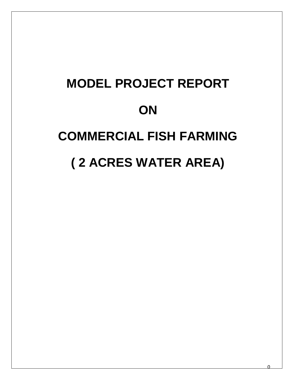## **MODEL PROJECT REPORT ON COMMERCIAL FISH FARMING ( 2 ACRES WATER AREA)**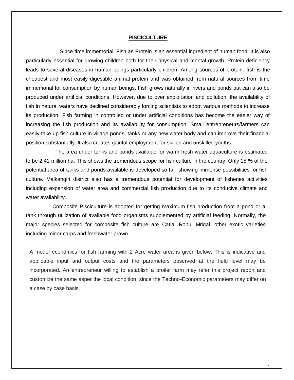## **PISCICULTURE**

 Since time immemorial, Fish as Protein is an essential ingredient of human food. It is also particularly essential for growing children both for their physical and mental growth. Protein deficiency leads to several diseases in human beings particularly children. Among sources of protein, fish is the cheapest and most easily digestible animal protein and was obtained from natural sources from time immemorial for consumption by human beings. Fish grows naturally in rivers and ponds but can also be produced under artificial conditions. However, due to over exploitation and pollution, the availability of fish in natural waters have declined considerably forcing scientists to adopt various methods to increase its production. Fish farming in controlled or under artificial conditions has become the easier way of increasing the fish production and its availability for consumption. Small entrepreneurs/farmers can easily take up fish culture in village ponds, tanks or any new water body and can improve their financial position substantially. It also creates gainful employment for skilled and unskilled youths.

 The area under tanks and ponds available for warm fresh water aquaculture is estimated to be 2.41 million ha. This shows the tremendous scope for fish culture in the country. Only 15 % of the potential area of tanks and ponds available is developed so far, showing immense possibilities for fish culture. Malkangiri district also has a tremendous potential for development of fisheries activities including expansion of water area and commercial fish production due to its conducive climate and water availability.

 Composite Pisciculture is adopted for getting maximum fish production from a pond or a tank through utilization of available food organisms supplemented by artificial feeding. Normally, the major species selected for composite fish culture are Catla, Rohu, Mrigal, other exotic varieties including minor carps and freshwater prawn.

A model economics for fish farming with 2 Acre water area is given below. This is indicative and applicable input and output costs and the parameters observed at the field level may be incorporated. An entrepreneur willing to establish a broiler farm may refer this project report and customize the same asper the local condition, since the Techno-Economic parameters may differ on a case by case basis.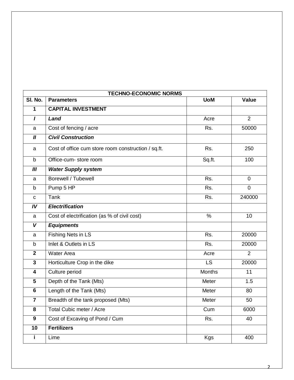| <b>TECHNO-ECONOMIC NORMS</b> |                                                     |               |                |  |  |  |
|------------------------------|-----------------------------------------------------|---------------|----------------|--|--|--|
| SI. No.                      | <b>Parameters</b>                                   | <b>UoM</b>    | <b>Value</b>   |  |  |  |
| $\mathbf{1}$                 | <b>CAPITAL INVESTMENT</b>                           |               |                |  |  |  |
| $\mathbf{I}$                 | Land                                                | Acre          | $\overline{2}$ |  |  |  |
| a                            | Cost of fencing / acre                              | Rs.           | 50000          |  |  |  |
| $\boldsymbol{II}$            | <b>Civil Construction</b>                           |               |                |  |  |  |
| a                            | Cost of office cum store room construction / sq.ft. | Rs.           | 250            |  |  |  |
| $\mathsf b$                  | Office-cum- store room                              | Sq.ft.        | 100            |  |  |  |
| III                          | <b>Water Supply system</b>                          |               |                |  |  |  |
| a                            | <b>Borewell / Tubewell</b>                          | Rs.           | $\mathbf 0$    |  |  |  |
| b                            | Pump 5 HP                                           | Rs.           | $\overline{0}$ |  |  |  |
| $\mathbf C$                  | Tank                                                | Rs.           | 240000         |  |  |  |
| IV                           | <b>Electrification</b>                              |               |                |  |  |  |
| a                            | Cost of electrification (as % of civil cost)        | $\%$          | 10             |  |  |  |
| V                            | <b>Equipments</b>                                   |               |                |  |  |  |
| a                            | Fishing Nets in LS                                  | Rs.           | 20000          |  |  |  |
| b                            | Inlet & Outlets in LS                               | Rs.           | 20000          |  |  |  |
| $\mathbf{2}$                 | <b>Water Area</b>                                   | Acre          | 2              |  |  |  |
| 3                            | Horticulture Crop in the dike                       | <b>LS</b>     | 20000          |  |  |  |
| 4                            | Culture period                                      | <b>Months</b> | 11             |  |  |  |
| 5                            | Depth of the Tank (Mts)                             | Meter         | 1.5            |  |  |  |
| $6\phantom{1}$               | Length of the Tank (Mts)                            | Meter         | 80             |  |  |  |
| $\overline{7}$               | Breadth of the tank proposed (Mts)                  | Meter         | 50             |  |  |  |
| 8                            | Total Cubic meter / Acre                            | Cum           | 6000           |  |  |  |
| $\boldsymbol{9}$             | Cost of Excaving of Pond / Cum                      | Rs.           | 40             |  |  |  |
| 10                           | <b>Fertilizers</b>                                  |               |                |  |  |  |
|                              | Lime                                                | Kgs           | 400            |  |  |  |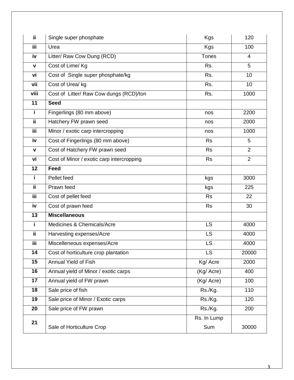| ij.             | Single super phosphate<br><b>Kgs</b>      |                    |                 |  |
|-----------------|-------------------------------------------|--------------------|-----------------|--|
| <b>iii</b>      | Urea                                      | <b>Kgs</b>         | 100             |  |
| iv              | Litter/ Raw Cow Dung (RCD)                | <b>Tones</b>       | $\overline{4}$  |  |
| $\mathbf v$     | Cost of Lime/ Kg                          | Rs.                | 5               |  |
| vi              | Cost of Single super phosphate/kg         | Rs.                | 10              |  |
| vii             | Cost of Urea/ kg                          | Rs.                | 10 <sup>1</sup> |  |
| viii            | Cost of Litter/ Raw Cow dungs (RCD)/ton   | Rs.                | 1000            |  |
| 11              | <b>Seed</b>                               |                    |                 |  |
| i.              | Fingerlings (80 mm above)                 | nos                | 2200            |  |
| ΪÏ              | Hatchery FW prawn seed                    | nos                | 2000            |  |
| <b>iii</b>      | Minor / exotic carp intercropping         | nos                | 1000            |  |
| iv              | Cost of Fingerlings (80 mm above)         | <b>Rs</b>          | 5               |  |
| $\mathbf V$     | Cost of Hatchery FW prawn seed            | <b>Rs</b>          | $\overline{2}$  |  |
| vi              | Cost of Minor / exotic carp intercropping | <b>Rs</b>          | $\overline{2}$  |  |
| $\overline{12}$ | <b>Feed</b>                               |                    |                 |  |
| i.              | Pellet feed                               | kgs                | 3000            |  |
| ii.             | Prawn feed                                | kgs                | 225             |  |
| <b>iii</b>      | Cost of pellet feed                       | <b>Rs</b>          | 22              |  |
| iv              | Cost of prawn feed                        | <b>Rs</b>          | 30              |  |
| 13              | <b>Miscellaneous</b>                      |                    |                 |  |
| i.              | Medicines & Chemicals/Acre                | <b>LS</b>          | 4000            |  |
| ii.             | Harvesting expenses/Acre                  | <b>LS</b>          | 4000            |  |
| iii             | Miscelleneous expenses/Acre               | LS                 | 4000            |  |
| 14              | Cost of horticulture crop plantation      | LS                 | 20000           |  |
| 15              | <b>Annual Yield of Fish</b>               | Kg/ Acre           | 2000            |  |
| 16              | Annual yield of Minor / exotic carps      | (Kg/ Acre)         | 400             |  |
| 17              | Annual yield of FW prawn                  | (Kg/ Acre)         | 100             |  |
| 18              | Sale price of fish                        | Rs./Kg.            | 110             |  |
| 19              | Sale price of Minor / Exotic carps        | Rs./Kg.            | 120             |  |
| 20              | Sale price of FW prawn                    | Rs./Kg.            | 200             |  |
| 21              | Sale of Horticulture Crop                 | Rs. In Lump<br>Sum | 30000           |  |

3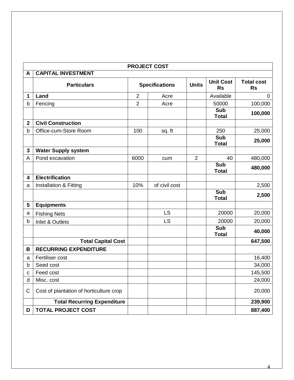|              | <b>PROJECT COST</b>                     |                |                       |                |                               |                                |  |  |
|--------------|-----------------------------------------|----------------|-----------------------|----------------|-------------------------------|--------------------------------|--|--|
| A            | <b>CAPITAL INVESTMENT</b>               |                |                       |                |                               |                                |  |  |
|              | <b>Particulars</b>                      |                | <b>Specifications</b> | <b>Units</b>   | <b>Unit Cost</b><br><b>Rs</b> | <b>Total cost</b><br><b>Rs</b> |  |  |
| 1            | Land                                    | $\overline{2}$ | Acre                  |                | Available                     | $\mathbf 0$                    |  |  |
| b            | Fencing                                 | $\overline{2}$ | Acre                  |                | 50000                         | 100,000                        |  |  |
|              |                                         |                |                       |                | Sub<br><b>Total</b>           | 100,000                        |  |  |
| $\mathbf{2}$ | <b>Civil Construction</b>               |                |                       |                |                               |                                |  |  |
| $\mathsf b$  | Office-cum-Store Room                   | 100            | sq. ft                |                | 250                           | 25,000                         |  |  |
|              |                                         |                |                       |                | <b>Sub</b><br><b>Total</b>    | 25,000                         |  |  |
| $\mathbf{3}$ | <b>Water Supply system</b>              |                |                       |                |                               |                                |  |  |
| A            | Pond excavation                         | 6000           | cum                   | $\overline{2}$ | 40                            | 480,000                        |  |  |
|              |                                         |                |                       |                | <b>Sub</b><br><b>Total</b>    | 480,000                        |  |  |
| 4            | <b>Electrification</b>                  |                |                       |                |                               |                                |  |  |
| a            | Installation & Fitting                  | 10%            | of civil cost         |                |                               | 2,500                          |  |  |
|              |                                         |                |                       |                | Sub<br><b>Total</b>           | 2,500                          |  |  |
| 5            | <b>Equipments</b>                       |                |                       |                |                               |                                |  |  |
| a            | <b>Fishing Nets</b>                     |                | <b>LS</b>             |                | 20000                         | 20,000                         |  |  |
| b            | Inlet & Outlets                         |                | <b>LS</b>             |                | 20000                         | 20,000                         |  |  |
|              |                                         |                |                       |                | Sub<br><b>Total</b>           | 40,000                         |  |  |
|              | <b>Total Capital Cost</b>               |                |                       |                |                               | 647,500                        |  |  |
| В            | <b>RECURRING EXPENDITURE</b>            |                |                       |                |                               |                                |  |  |
| a            | Fertiliser cost                         |                |                       |                |                               | 16,400                         |  |  |
| b            | Seed cost                               |                |                       |                |                               | 34,000                         |  |  |
| С            | Feed cost                               |                |                       |                |                               | 145,500                        |  |  |
| d            | Misc. cost                              |                |                       |                |                               | 24,000                         |  |  |
| C            | Cost of plantation of horticulture crop |                |                       |                |                               | 20,000                         |  |  |
|              | <b>Total Recurring Expenditure</b>      |                |                       |                |                               | 239,900                        |  |  |
| D            | <b>TOTAL PROJECT COST</b>               |                |                       |                |                               | 887,400                        |  |  |